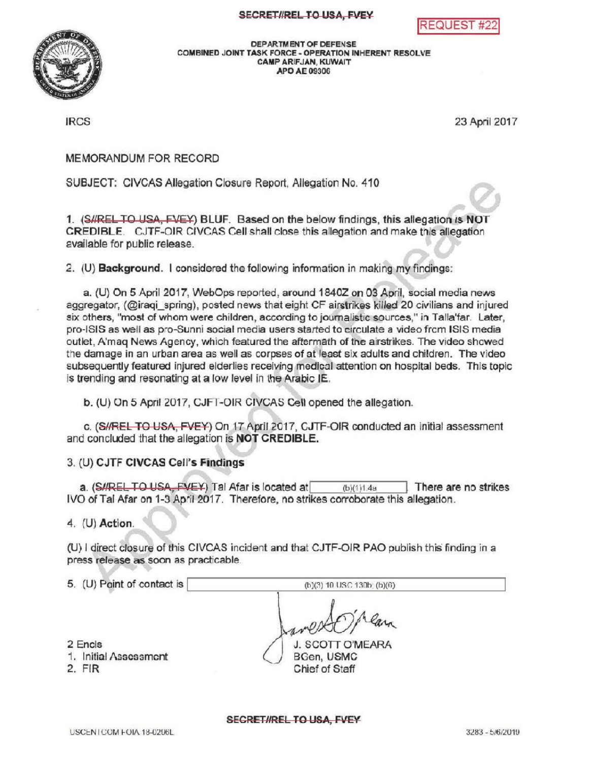



DEPARTMENT OF DEFENSE COMBINED JOINT TASK FORCE -OPERATION INHERENT RESOLVE CAMP ARIFJAN, KUWAIT APOAE09306

**IRCS** 

23April2017

MEMORANDUM FOR RECORD

SUBJECT: CIVCAS Allegation Closure Report, Allegation No. 410

1. (SHREL TO USA, FVEY) BLUF. Based on the below findings, this allegation is NOT CREDIBLE . CJTF-OIR CIVCAS Cell shall close this allegation and make this allegation available for public release.

2. (U) Background. I considered the following information in making my findings:

a. (U) On 5 April 2017, WebOps reported, around 1840Z on 03 April, social media news aggregator, (@iraqi\_spring), posted news that eight CF airstrikes killed 20 civilians and injured six others, "most of whom were children, according to journalistic sources," in Talla'far. Later, pro-ISIS as well as pro-Sunni social media users started to circulate a video from ISIS media outlet, A'maq News Agency, which featured the aftermath of the airstrikes. The video showed the damage in an urban area as wellas corpsesof at leastsix adults andchildren. The video subsequently featured injured elderlies receiving medical attention on hospital beds. This topic is trending and resonating at a low level in the Arabic IE.

b. (U) On 5 April 2017, CJFT-OIR CIVCAS Cell opened the allegation.

c. (S//REL TO USA, FVEY) On 17 April 2017, CJTF-OIR conducted an initial assessment and concluded that the allegation is **NOT CREDIBLE.** 

## 3. (U) CJTF CIVCAS Cell's Findings

a.  $(SHREL TO USA, FVEY)$  Tal Afar is located at  $(b)(1)1.4a$  There are no strikes IVO of Tal Afar on 1-3 April 2017. Therefore, no strikes corroborate this allegation.

 $4.$  (U) Action.

(U) I direct closure of this CIVCAS incident and that CJTF-OIR PAO publish this finding in <sup>a</sup> press release as soon as practicable.

5. (U) Point of contact is  $(b)(3)$  10 USC 130b; (b)(6)

2 Encls

1. InitialAssessment

2. FIR

mesto J. SCOTTO'MEARA

BGen, USMC Chief of Staff

SECRET//REL TO USA, FVEY